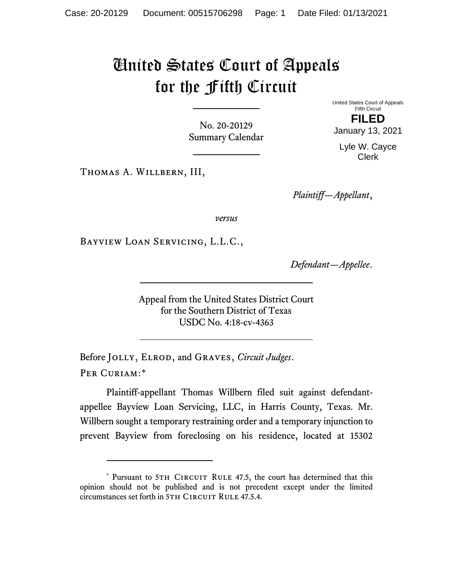# United States Court of Appeals for the Fifth Circuit

No. 20-20129 Summary Calendar United States Court of Appeals Fifth Circuit **FILED**

Lyle W. Cayce Clerk

January 13, 2021

Thomas A. Willbern, III,

*Plaintiff—Appellant*,

*versus*

Bayview Loan Servicing, L.L.C.,

*Defendant—Appellee*.

Appeal from the United States District Court for the Southern District of Texas USDC No. 4:18-cv-4363

Before Jolly, Elrod, and Graves, *Circuit Judges*. Per Curiam:[\\*](#page-0-0)

Plaintiff-appellant Thomas Willbern filed suit against defendantappellee Bayview Loan Servicing, LLC, in Harris County, Texas. Mr. Willbern sought a temporary restraining order and a temporary injunction to prevent Bayview from foreclosing on his residence, located at 15302

<span id="page-0-0"></span><sup>\*</sup> Pursuant to 5TH CIRCUIT RULE 47.5, the court has determined that this opinion should not be published and is not precedent except under the limited circumstances set forth in 5TH CIRCUIT RULE 47.5.4.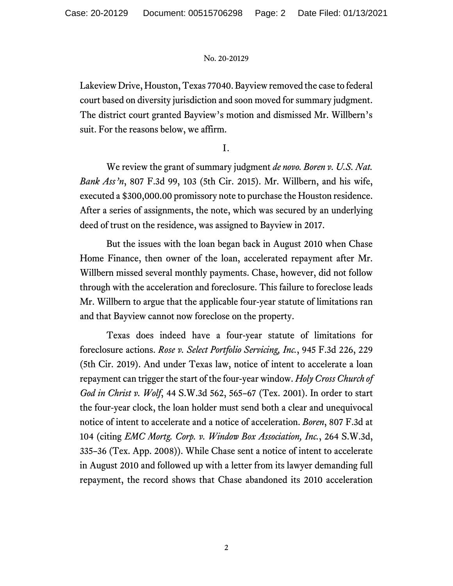Lakeview Drive, Houston, Texas 77040. Bayview removed the case to federal court based on diversity jurisdiction and soon moved for summary judgment. The district court granted Bayview's motion and dismissed Mr. Willbern's suit. For the reasons below, we affirm.

I.

We review the grant of summary judgment *de novo. Boren v. U.S. Nat. Bank Ass'n*, 807 F.3d 99, 103 (5th Cir. 2015). Mr. Willbern, and his wife, executed a \$300,000.00 promissory note to purchase the Houston residence. After a series of assignments, the note, which was secured by an underlying deed of trust on the residence, was assigned to Bayview in 2017.

But the issues with the loan began back in August 2010 when Chase Home Finance, then owner of the loan, accelerated repayment after Mr. Willbern missed several monthly payments. Chase, however, did not follow through with the acceleration and foreclosure. This failure to foreclose leads Mr. Willbern to argue that the applicable four-year statute of limitations ran and that Bayview cannot now foreclose on the property.

Texas does indeed have a four-year statute of limitations for foreclosure actions. *Rose v. Select Portfolio Servicing, Inc.*, 945 F.3d 226, 229 (5th Cir. 2019). And under Texas law, notice of intent to accelerate a loan repayment can trigger the start of the four-year window. *Holy Cross Church of God in Christ v. Wolf*, 44 S.W.3d 562, 565–67 (Tex. 2001). In order to start the four-year clock, the loan holder must send both a clear and unequivocal notice of intent to accelerate and a notice of acceleration. *Boren*, 807 F.3d at 104 (citing *EMC Mortg. Corp. v. Window Box Association, Inc.*, 264 S.W.3d, 335–36 (Tex. App. 2008)). While Chase sent a notice of intent to accelerate in August 2010 and followed up with a letter from its lawyer demanding full repayment, the record shows that Chase abandoned its 2010 acceleration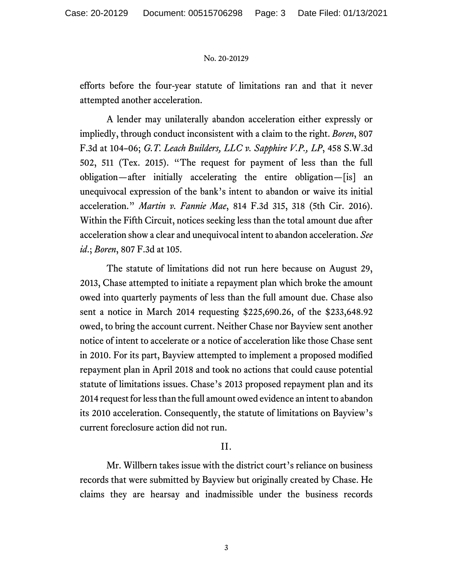efforts before the four-year statute of limitations ran and that it never attempted another acceleration.

A lender may unilaterally abandon acceleration either expressly or impliedly, through conduct inconsistent with a claim to the right. *Boren*, 807 F.3d at 104–06; *G.T. Leach Builders, LLC v. Sapphire V.P., LP*, 458 S.W.3d 502, 511 (Tex. 2015). "The request for payment of less than the full obligation—after initially accelerating the entire obligation—[is] an unequivocal expression of the bank's intent to abandon or waive its initial acceleration." *Martin v. Fannie Mae*, 814 F.3d 315, 318 (5th Cir. 2016). Within the Fifth Circuit, notices seeking less than the total amount due after acceleration show a clear and unequivocal intent to abandon acceleration. *See id*.; *Boren*, 807 F.3d at 105.

The statute of limitations did not run here because on August 29, 2013, Chase attempted to initiate a repayment plan which broke the amount owed into quarterly payments of less than the full amount due. Chase also sent a notice in March 2014 requesting \$225,690.26, of the \$233,648.92 owed, to bring the account current. Neither Chase nor Bayview sent another notice of intent to accelerate or a notice of acceleration like those Chase sent in 2010. For its part, Bayview attempted to implement a proposed modified repayment plan in April 2018 and took no actions that could cause potential statute of limitations issues. Chase's 2013 proposed repayment plan and its 2014 request for less than the full amount owed evidence an intent to abandon its 2010 acceleration. Consequently, the statute of limitations on Bayview's current foreclosure action did not run.

## II.

Mr. Willbern takes issue with the district court's reliance on business records that were submitted by Bayview but originally created by Chase. He claims they are hearsay and inadmissible under the business records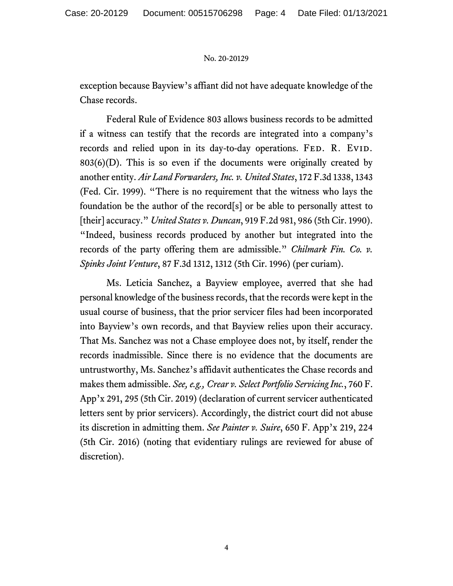exception because Bayview's affiant did not have adequate knowledge of the Chase records.

Federal Rule of Evidence 803 allows business records to be admitted if a witness can testify that the records are integrated into a company's records and relied upon in its day-to-day operations. FED. R. EVID.  $803(6)(D)$ . This is so even if the documents were originally created by another entity. *Air Land Forwarders, Inc. v. United States*, 172 F.3d 1338, 1343 (Fed. Cir. 1999). "There is no requirement that the witness who lays the foundation be the author of the record[s] or be able to personally attest to [their] accuracy." *United States v. Duncan*, 919 F.2d 981, 986 (5th Cir. 1990). "Indeed, business records produced by another but integrated into the records of the party offering them are admissible." *Chilmark Fin. Co. v. Spinks Joint Venture*, 87 F.3d 1312, 1312 (5th Cir. 1996) (per curiam).

Ms. Leticia Sanchez, a Bayview employee, averred that she had personal knowledge of the business records, that the records were kept in the usual course of business, that the prior servicer files had been incorporated into Bayview's own records, and that Bayview relies upon their accuracy. That Ms. Sanchez was not a Chase employee does not, by itself, render the records inadmissible. Since there is no evidence that the documents are untrustworthy, Ms. Sanchez's affidavit authenticates the Chase records and makes them admissible. *See, e.g., Crear v. Select Portfolio Servicing Inc.*, 760 F. App'x 291, 295 (5th Cir. 2019) (declaration of current servicer authenticated letters sent by prior servicers). Accordingly, the district court did not abuse its discretion in admitting them. *See Painter v. Suire*, 650 F. App'x 219, 224 (5th Cir. 2016) (noting that evidentiary rulings are reviewed for abuse of discretion).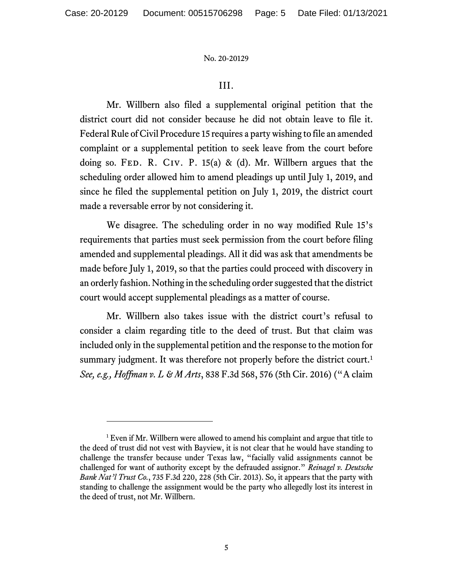## III.

Mr. Willbern also filed a supplemental original petition that the district court did not consider because he did not obtain leave to file it. Federal Rule of Civil Procedure 15 requires a party wishing to file an amended complaint or a supplemental petition to seek leave from the court before doing so. FED. R. CIV. P. 15(a) & (d). Mr. Willbern argues that the scheduling order allowed him to amend pleadings up until July 1, 2019, and since he filed the supplemental petition on July 1, 2019, the district court made a reversable error by not considering it.

We disagree. The scheduling order in no way modified Rule 15's requirements that parties must seek permission from the court before filing amended and supplemental pleadings. All it did was ask that amendments be made before July 1, 2019, so that the parties could proceed with discovery in an orderly fashion. Nothing in the scheduling order suggested that the district court would accept supplemental pleadings as a matter of course.

Mr. Willbern also takes issue with the district court's refusal to consider a claim regarding title to the deed of trust. But that claim was included only in the supplemental petition and the response to the motion for summary judgment. It was therefore not properly before the district court.<sup>[1](#page-4-0)</sup> *See, e.g., Hoffman v. L & M Arts*, 838 F.3d 568, 576 (5th Cir. 2016) ("A claim

<span id="page-4-0"></span><sup>&</sup>lt;sup>1</sup> Even if Mr. Willbern were allowed to amend his complaint and argue that title to the deed of trust did not vest with Bayview, it is not clear that he would have standing to challenge the transfer because under Texas law, "facially valid assignments cannot be challenged for want of authority except by the defrauded assignor." *Reinagel v. Deutsche Bank Nat'l Trust Co.*, 735 F.3d 220, 228 (5th Cir. 2013). So, it appears that the party with standing to challenge the assignment would be the party who allegedly lost its interest in the deed of trust, not Mr. Willbern.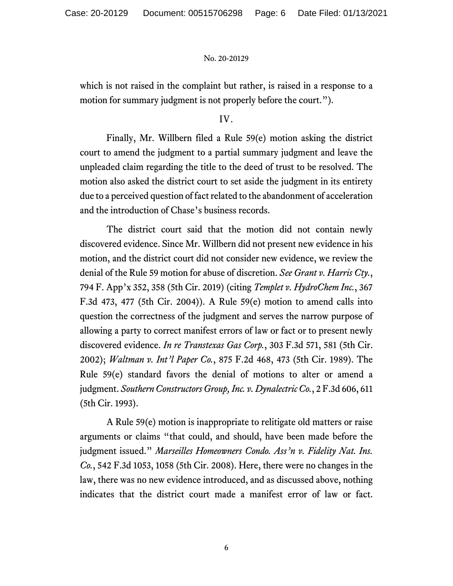which is not raised in the complaint but rather, is raised in a response to a motion for summary judgment is not properly before the court.").

## IV.

Finally, Mr. Willbern filed a Rule 59(e) motion asking the district court to amend the judgment to a partial summary judgment and leave the unpleaded claim regarding the title to the deed of trust to be resolved. The motion also asked the district court to set aside the judgment in its entirety due to a perceived question of fact related to the abandonment of acceleration and the introduction of Chase's business records.

The district court said that the motion did not contain newly discovered evidence. Since Mr. Willbern did not present new evidence in his motion, and the district court did not consider new evidence, we review the denial of the Rule 59 motion for abuse of discretion. *See Grant v. Harris Cty.*, 794 F. App'x 352, 358 (5th Cir. 2019) (citing *Templet v. HydroChem Inc.*, 367 F.3d 473, 477 (5th Cir. 2004)). A Rule 59(e) motion to amend calls into question the correctness of the judgment and serves the narrow purpose of allowing a party to correct manifest errors of law or fact or to present newly discovered evidence. *In re Transtexas Gas Corp.*, 303 F.3d 571, 581 (5th Cir. 2002); *Waltman v. Int'l Paper Co.*, 875 F.2d 468, 473 (5th Cir. 1989). The Rule 59(e) standard favors the denial of motions to alter or amend a judgment. *Southern Constructors Group, Inc. v. Dynalectric Co.*, 2 F.3d 606, 611 (5th Cir. 1993).

A Rule 59(e) motion is inappropriate to relitigate old matters or raise arguments or claims "that could, and should, have been made before the judgment issued." *Marseilles Homeowners Condo. Ass'n v. Fidelity Nat. Ins. Co.*, 542 F.3d 1053, 1058 (5th Cir. 2008). Here, there were no changes in the law, there was no new evidence introduced, and as discussed above, nothing indicates that the district court made a manifest error of law or fact.